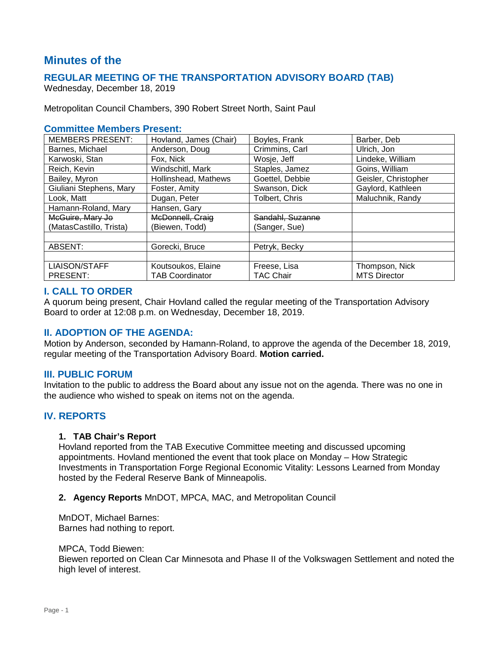# **Minutes of the**

# **REGULAR MEETING OF THE TRANSPORTATION ADVISORY BOARD (TAB)**

Wednesday, December 18, 2019

Metropolitan Council Chambers, 390 Robert Street North, Saint Paul

### **Committee Members Present:**

| <b>MEMBERS PRESENT:</b> | Hovland, James (Chair) | Boyles, Frank    | Barber, Deb          |
|-------------------------|------------------------|------------------|----------------------|
| Barnes, Michael         | Anderson, Doug         | Crimmins, Carl   | Ulrich. Jon          |
| Karwoski, Stan          | Fox, Nick              | Wosje, Jeff      | Lindeke, William     |
| Reich, Kevin            | Windschitl, Mark       | Staples, Jamez   | Goins, William       |
| Bailey, Myron           | Hollinshead, Mathews   | Goettel, Debbie  | Geisler, Christopher |
| Giuliani Stephens, Mary | Foster, Amity          | Swanson, Dick    | Gaylord, Kathleen    |
| Look, Matt              | Dugan, Peter           | Tolbert, Chris   | Maluchnik, Randy     |
| Hamann-Roland, Mary     | Hansen, Gary           |                  |                      |
| McGuire, Mary Jo        | McDonnell, Craig       | Sandahl, Suzanne |                      |
| (MatasCastillo, Trista) | (Biewen, Todd)         | (Sanger, Sue)    |                      |
|                         |                        |                  |                      |
| ABSENT:                 | Gorecki, Bruce         | Petryk, Becky    |                      |
|                         |                        |                  |                      |
| <b>LIAISON/STAFF</b>    | Koutsoukos, Elaine     | Freese, Lisa     | Thompson, Nick       |
| PRESENT:                | <b>TAB Coordinator</b> | TAC Chair        | <b>MTS Director</b>  |

### **I. CALL TO ORDER**

A quorum being present, Chair Hovland called the regular meeting of the Transportation Advisory Board to order at 12:08 p.m. on Wednesday, December 18, 2019.

# **II. ADOPTION OF THE AGENDA:**

Motion by Anderson, seconded by Hamann-Roland, to approve the agenda of the December 18, 2019, regular meeting of the Transportation Advisory Board. **Motion carried.**

#### **III. PUBLIC FORUM**

Invitation to the public to address the Board about any issue not on the agenda. There was no one in the audience who wished to speak on items not on the agenda.

# **IV. REPORTS**

#### **1. TAB Chair's Report**

Hovland reported from the TAB Executive Committee meeting and discussed upcoming appointments. Hovland mentioned the event that took place on Monday – How Strategic Investments in Transportation Forge Regional Economic Vitality: Lessons Learned from Monday hosted by the Federal Reserve Bank of Minneapolis.

#### **2. Agency Reports** MnDOT, MPCA, MAC, and Metropolitan Council

MnDOT, Michael Barnes: Barnes had nothing to report.

MPCA, Todd Biewen:

Biewen reported on Clean Car Minnesota and Phase II of the Volkswagen Settlement and noted the high level of interest.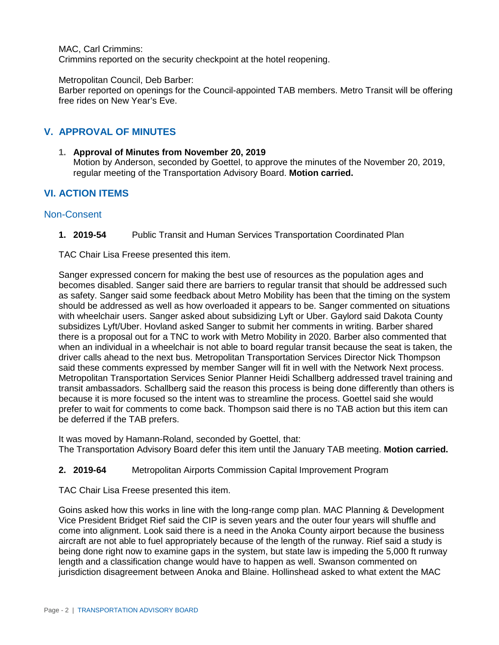MAC, Carl Crimmins:

Crimmins reported on the security checkpoint at the hotel reopening.

#### Metropolitan Council, Deb Barber:

Barber reported on openings for the Council-appointed TAB members. Metro Transit will be offering free rides on New Year's Eve.

# **V. APPROVAL OF MINUTES**

### **1. Approval of Minutes from November 20, 2019**

Motion by Anderson, seconded by Goettel, to approve the minutes of the November 20, 2019, regular meeting of the Transportation Advisory Board. **Motion carried.**

# **VI. ACTION ITEMS**

### Non-Consent

**1. 2019-54** Public Transit and Human Services Transportation Coordinated Plan

TAC Chair Lisa Freese presented this item.

Sanger expressed concern for making the best use of resources as the population ages and becomes disabled. Sanger said there are barriers to regular transit that should be addressed such as safety. Sanger said some feedback about Metro Mobility has been that the timing on the system should be addressed as well as how overloaded it appears to be. Sanger commented on situations with wheelchair users. Sanger asked about subsidizing Lyft or Uber. Gaylord said Dakota County subsidizes Lyft/Uber. Hovland asked Sanger to submit her comments in writing. Barber shared there is a proposal out for a TNC to work with Metro Mobility in 2020. Barber also commented that when an individual in a wheelchair is not able to board regular transit because the seat is taken, the driver calls ahead to the next bus. Metropolitan Transportation Services Director Nick Thompson said these comments expressed by member Sanger will fit in well with the Network Next process. Metropolitan Transportation Services Senior Planner Heidi Schallberg addressed travel training and transit ambassadors. Schallberg said the reason this process is being done differently than others is because it is more focused so the intent was to streamline the process. Goettel said she would prefer to wait for comments to come back. Thompson said there is no TAB action but this item can be deferred if the TAB prefers.

It was moved by Hamann-Roland, seconded by Goettel, that: The Transportation Advisory Board defer this item until the January TAB meeting. **Motion carried.**

### **2. 2019-64** Metropolitan Airports Commission Capital Improvement Program

TAC Chair Lisa Freese presented this item.

Goins asked how this works in line with the long-range comp plan. MAC Planning & Development Vice President Bridget Rief said the CIP is seven years and the outer four years will shuffle and come into alignment. Look said there is a need in the Anoka County airport because the business aircraft are not able to fuel appropriately because of the length of the runway. Rief said a study is being done right now to examine gaps in the system, but state law is impeding the 5,000 ft runway length and a classification change would have to happen as well. Swanson commented on jurisdiction disagreement between Anoka and Blaine. Hollinshead asked to what extent the MAC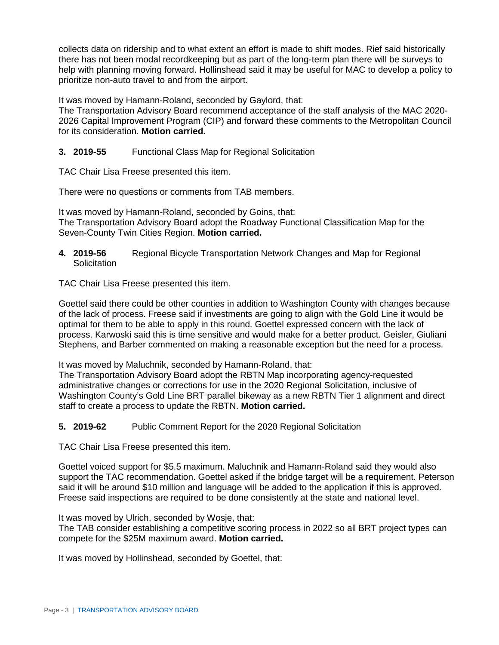collects data on ridership and to what extent an effort is made to shift modes. Rief said historically there has not been modal recordkeeping but as part of the long-term plan there will be surveys to help with planning moving forward. Hollinshead said it may be useful for MAC to develop a policy to prioritize non-auto travel to and from the airport.

It was moved by Hamann-Roland, seconded by Gaylord, that:

The Transportation Advisory Board recommend acceptance of the staff analysis of the MAC 2020- 2026 Capital Improvement Program (CIP) and forward these comments to the Metropolitan Council for its consideration. **Motion carried.**

### **3. 2019-55** Functional Class Map for Regional Solicitation

TAC Chair Lisa Freese presented this item.

There were no questions or comments from TAB members.

It was moved by Hamann-Roland, seconded by Goins, that: The Transportation Advisory Board adopt the Roadway Functional Classification Map for the Seven-County Twin Cities Region. **Motion carried.**

**4. 2019-56** Regional Bicycle Transportation Network Changes and Map for Regional **Solicitation** 

TAC Chair Lisa Freese presented this item.

Goettel said there could be other counties in addition to Washington County with changes because of the lack of process. Freese said if investments are going to align with the Gold Line it would be optimal for them to be able to apply in this round. Goettel expressed concern with the lack of process. Karwoski said this is time sensitive and would make for a better product. Geisler, Giuliani Stephens, and Barber commented on making a reasonable exception but the need for a process.

It was moved by Maluchnik, seconded by Hamann-Roland, that:

The Transportation Advisory Board adopt the RBTN Map incorporating agency-requested administrative changes or corrections for use in the 2020 Regional Solicitation, inclusive of Washington County's Gold Line BRT parallel bikeway as a new RBTN Tier 1 alignment and direct staff to create a process to update the RBTN. **Motion carried.**

### **5. 2019-62** Public Comment Report for the 2020 Regional Solicitation

TAC Chair Lisa Freese presented this item.

Goettel voiced support for \$5.5 maximum. Maluchnik and Hamann-Roland said they would also support the TAC recommendation. Goettel asked if the bridge target will be a requirement. Peterson said it will be around \$10 million and language will be added to the application if this is approved. Freese said inspections are required to be done consistently at the state and national level.

It was moved by Ulrich, seconded by Wosje, that:

The TAB consider establishing a competitive scoring process in 2022 so all BRT project types can compete for the \$25M maximum award. **Motion carried.**

It was moved by Hollinshead, seconded by Goettel, that: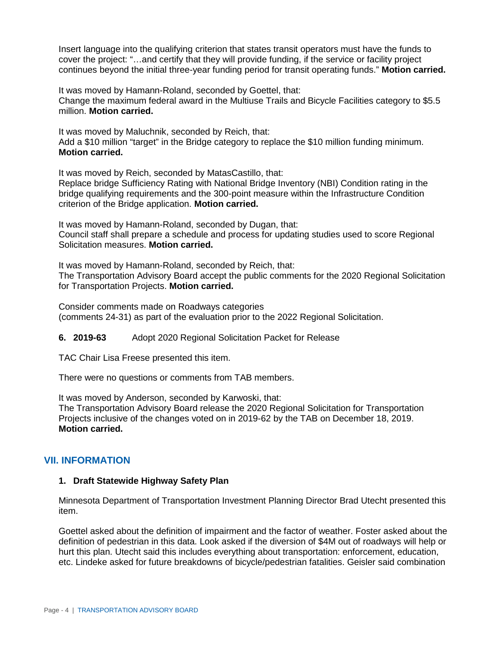Insert language into the qualifying criterion that states transit operators must have the funds to cover the project: "…and certify that they will provide funding, if the service or facility project continues beyond the initial three-year funding period for transit operating funds." **Motion carried.**

It was moved by Hamann-Roland, seconded by Goettel, that: Change the maximum federal award in the Multiuse Trails and Bicycle Facilities category to \$5.5 million. **Motion carried.**

It was moved by Maluchnik, seconded by Reich, that: Add a \$10 million "target" in the Bridge category to replace the \$10 million funding minimum. **Motion carried.**

It was moved by Reich, seconded by MatasCastillo, that: Replace bridge Sufficiency Rating with National Bridge Inventory (NBI) Condition rating in the bridge qualifying requirements and the 300-point measure within the Infrastructure Condition criterion of the Bridge application. **Motion carried.**

It was moved by Hamann-Roland, seconded by Dugan, that: Council staff shall prepare a schedule and process for updating studies used to score Regional Solicitation measures. **Motion carried.**

It was moved by Hamann-Roland, seconded by Reich, that: The Transportation Advisory Board accept the public comments for the 2020 Regional Solicitation for Transportation Projects. **Motion carried.**

Consider comments made on Roadways categories (comments 24-31) as part of the evaluation prior to the 2022 Regional Solicitation.

**6. 2019-63** Adopt 2020 Regional Solicitation Packet for Release

TAC Chair Lisa Freese presented this item.

There were no questions or comments from TAB members.

It was moved by Anderson, seconded by Karwoski, that:

The Transportation Advisory Board release the 2020 Regional Solicitation for Transportation Projects inclusive of the changes voted on in 2019-62 by the TAB on December 18, 2019. **Motion carried.**

# **VII. INFORMATION**

### **1. Draft Statewide Highway Safety Plan**

Minnesota Department of Transportation Investment Planning Director Brad Utecht presented this item.

Goettel asked about the definition of impairment and the factor of weather. Foster asked about the definition of pedestrian in this data. Look asked if the diversion of \$4M out of roadways will help or hurt this plan. Utecht said this includes everything about transportation: enforcement, education, etc. Lindeke asked for future breakdowns of bicycle/pedestrian fatalities. Geisler said combination